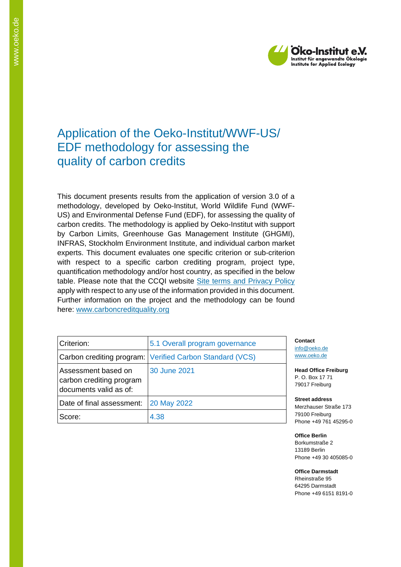

# Application of the Oeko-Institut/WWF-US/ EDF methodology for assessing the quality of carbon credits

This document presents results from the application of version 3.0 of a methodology, developed by Oeko-Institut, World Wildlife Fund (WWF-US) and Environmental Defense Fund (EDF), for assessing the quality of carbon credits. The methodology is applied by Oeko-Institut with support by Carbon Limits, Greenhouse Gas Management Institute (GHGMI), INFRAS, Stockholm Environment Institute, and individual carbon market experts. This document evaluates one specific criterion or sub-criterion with respect to a specific carbon crediting program, project type, quantification methodology and/or host country, as specified in the below table. Please note that the CCQI website [Site terms and Privacy Policy](https://carboncreditquality.org/terms.html) apply with respect to any use of the information provided in this document. Further information on the project and the methodology can be found here: [www.carboncreditquality.org](http://www.carboncreditquality.org/)

| Criterion:                                                                | 5.1 Overall program governance                           | C<br>inf       |
|---------------------------------------------------------------------------|----------------------------------------------------------|----------------|
|                                                                           | Carbon crediting program: Verified Carbon Standard (VCS) | <b>W\</b>      |
| Assessment based on<br>carbon crediting program<br>documents valid as of: | 30 June 2021                                             | He<br>Ρ.<br>79 |
| Date of final assessment:                                                 | 20 May 2022                                              | St<br>M        |
| Score:                                                                    | 4.38                                                     | 79<br>Pł       |

**Contact** [info@oeko.de](mailto:info@oeko.de) [www.oeko.de](http://www.oeko.de/)

**Head Office Freiburg** P. O. Box 17 71 9017 Freiburg

**Street address** Merzhauser Straße 173 9100 Freiburg hone +49 761 45295-0

**Office Berlin** Borkumstraße 2 13189 Berlin Phone +49 30 405085-0

**Office Darmstadt** Rheinstraße 95 64295 Darmstadt Phone +49 6151 8191-0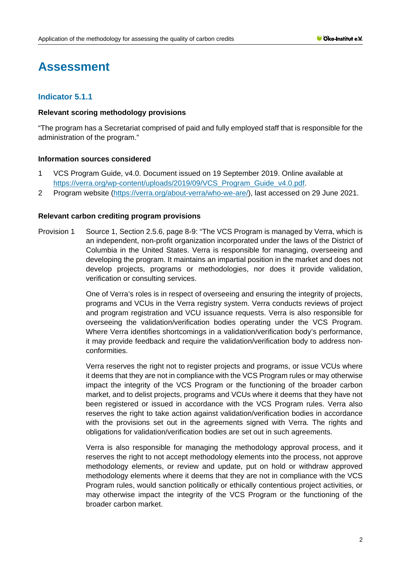# **Assessment**

# **Indicator 5.1.1**

### **Relevant scoring methodology provisions**

"The program has a Secretariat comprised of paid and fully employed staff that is responsible for the administration of the program."

# **Information sources considered**

- 1 VCS Program Guide, v4.0. Document issued on 19 September 2019. Online available at [https://verra.org/wp-content/uploads/2019/09/VCS\\_Program\\_Guide\\_v4.0.pdf.](https://verra.org/wp-content/uploads/2019/09/VCS_Program_Guide_v4.0.pdf)
- 2 Program website [\(https://verra.org/about-verra/who-we-are/\)](https://verra.org/about-verra/who-we-are/), last accessed on 29 June 2021.

### **Relevant carbon crediting program provisions**

Provision 1 Source 1, Section 2.5.6, page 8-9: "The VCS Program is managed by Verra, which is an independent, non-profit organization incorporated under the laws of the District of Columbia in the United States. Verra is responsible for managing, overseeing and developing the program. It maintains an impartial position in the market and does not develop projects, programs or methodologies, nor does it provide validation, verification or consulting services.

> One of Verra's roles is in respect of overseeing and ensuring the integrity of projects, programs and VCUs in the Verra registry system. Verra conducts reviews of project and program registration and VCU issuance requests. Verra is also responsible for overseeing the validation/verification bodies operating under the VCS Program. Where Verra identifies shortcomings in a validation/verification body's performance, it may provide feedback and require the validation/verification body to address nonconformities.

> Verra reserves the right not to register projects and programs, or issue VCUs where it deems that they are not in compliance with the VCS Program rules or may otherwise impact the integrity of the VCS Program or the functioning of the broader carbon market, and to delist projects, programs and VCUs where it deems that they have not been registered or issued in accordance with the VCS Program rules. Verra also reserves the right to take action against validation/verification bodies in accordance with the provisions set out in the agreements signed with Verra. The rights and obligations for validation/verification bodies are set out in such agreements.

> Verra is also responsible for managing the methodology approval process, and it reserves the right to not accept methodology elements into the process, not approve methodology elements, or review and update, put on hold or withdraw approved methodology elements where it deems that they are not in compliance with the VCS Program rules, would sanction politically or ethically contentious project activities, or may otherwise impact the integrity of the VCS Program or the functioning of the broader carbon market.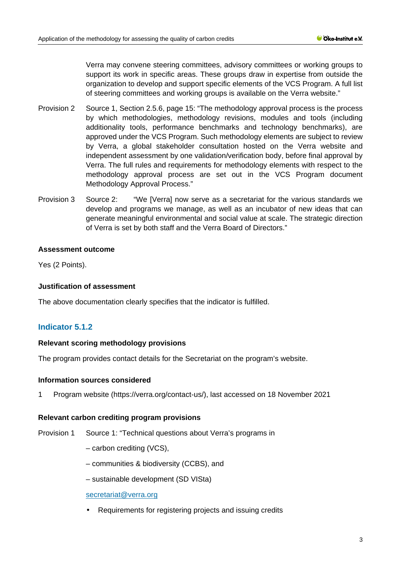Verra may convene steering committees, advisory committees or working groups to support its work in specific areas. These groups draw in expertise from outside the organization to develop and support specific elements of the VCS Program. A full list of steering committees and working groups is available on the Verra website."

- Provision 2 Source 1, Section 2.5.6, page 15: "The methodology approval process is the process by which methodologies, methodology revisions, modules and tools (including additionality tools, performance benchmarks and technology benchmarks), are approved under the VCS Program. Such methodology elements are subject to review by Verra, a global stakeholder consultation hosted on the Verra website and independent assessment by one validation/verification body, before final approval by Verra. The full rules and requirements for methodology elements with respect to the methodology approval process are set out in the VCS Program document Methodology Approval Process."
- Provision 3 Source 2: "We [Verra] now serve as a secretariat for the various standards we develop and programs we manage, as well as an incubator of new ideas that can generate meaningful environmental and social value at scale. The strategic direction of Verra is set by both staff and the Verra Board of Directors."

### **Assessment outcome**

Yes (2 Points).

### **Justification of assessment**

The above documentation clearly specifies that the indicator is fulfilled.

# **Indicator 5.1.2**

### **Relevant scoring methodology provisions**

The program provides contact details for the Secretariat on the program's website.

### **Information sources considered**

1 Program website (https://verra.org/contact-us/), last accessed on 18 November 2021

### **Relevant carbon crediting program provisions**

Provision 1 Source 1: "Technical questions about Verra's programs in

- carbon crediting (VCS),
- communities & biodiversity (CCBS), and
- sustainable development (SD VISta)

### [secretariat@verra.org](mailto:secretariat@verra.org)

Requirements for registering projects and issuing credits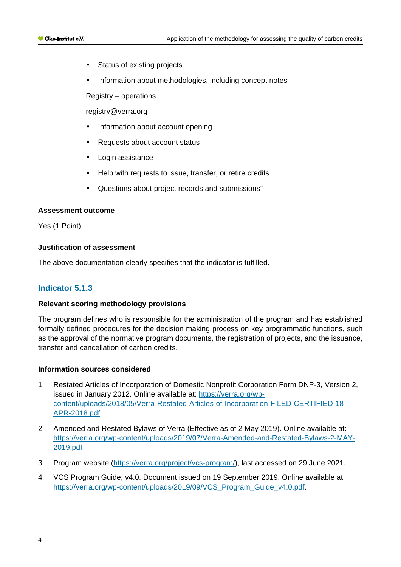- Status of existing projects  $\mathbf{r}$
- Information about methodologies, including concept notes

Registry – operations

[registry@verra.org](mailto:registry@verra.org)

- Information about account opening
- Requests about account status
- Login assistance
- Help with requests to issue, transfer, or retire credits
- Questions about project records and submissions"

### **Assessment outcome**

Yes (1 Point).

### **Justification of assessment**

The above documentation clearly specifies that the indicator is fulfilled.

# **Indicator 5.1.3**

### **Relevant scoring methodology provisions**

The program defines who is responsible for the administration of the program and has established formally defined procedures for the decision making process on key programmatic functions, such as the approval of the normative program documents, the registration of projects, and the issuance, transfer and cancellation of carbon credits.

### **Information sources considered**

- 1 Restated Articles of Incorporation of Domestic Nonprofit Corpo[ration Form DNP-3, Version 2,](https://verra.org/wp-content/uploads/2018/05/Verra-Restated-Articles-of-Incorporation-FILED-CERTIFIED-18-APR-2018.pdf)  issued in January 2012. Online available at: [https://verra.org/wp](https://verra.org/wp-content/uploads/2018/05/Verra-Restated-Articles-of-Incorporation-FILED-CERTIFIED-18-APR-2018.pdf)[content/uploads/2018/05/Verra-Restated-Articles-of-Incorporation-FILED-CERTIFIED-18-](https://verra.org/wp-content/uploads/2018/05/Verra-Restated-Articles-of-Incorporation-FILED-CERTIFIED-18-APR-2018.pdf) [APR-2018.pdf.](https://verra.org/wp-content/uploads/2018/05/Verra-Restated-Articles-of-Incorporation-FILED-CERTIFIED-18-APR-2018.pdf)
- 2 Amended and Restated Bylaws of Verra (Effective as of 2 May 2019). Online available at: [https://verra.org/wp-content/uploads/2019/07/Verra-Amended-and-Restated-Bylaws-2-MAY-](https://verra.org/wp-content/uploads/2019/07/Verra-Amended-and-Restated-Bylaws-2-MAY-2019.pdf)[2019.pdf](https://verra.org/wp-content/uploads/2019/07/Verra-Amended-and-Restated-Bylaws-2-MAY-2019.pdf)
- 3 Program website [\(https://verra.org/project/vcs-program/\)](https://verra.org/project/vcs-program/), last accessed on 29 June 2021.
- 4 VCS Program Guide, v4.0. Document issued on 19 September 2019. Online available at [https://verra.org/wp-content/uploads/2019/09/VCS\\_Program\\_Guide\\_v4.0.pdf.](https://verra.org/wp-content/uploads/2019/09/VCS_Program_Guide_v4.0.pdf)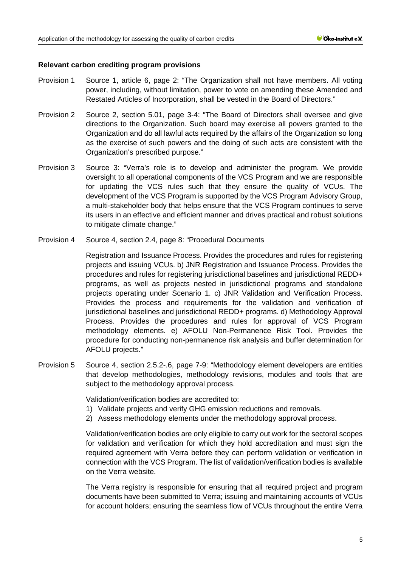### **Relevant carbon crediting program provisions**

- Provision 1 Source 1, article 6, page 2: "The Organization shall not have members. All voting power, including, without limitation, power to vote on amending these Amended and Restated Articles of Incorporation, shall be vested in the Board of Directors."
- Provision 2 Source 2, section 5.01, page 3-4: "The Board of Directors shall oversee and give directions to the Organization. Such board may exercise all powers granted to the Organization and do all lawful acts required by the affairs of the Organization so long as the exercise of such powers and the doing of such acts are consistent with the Organization's prescribed purpose."
- Provision 3 Source 3: "Verra's role is to develop and administer the program. We provide oversight to all operational components of the VCS Program and we are responsible for updating the VCS rules such that they ensure the quality of VCUs. The development of the VCS Program is supported by the VCS Program Advisory Group, a multi-stakeholder body that helps ensure that the VCS Program continues to serve its users in an effective and efficient manner and drives practical and robust solutions to mitigate climate change."
- Provision 4 Source 4, section 2.4, page 8: "Procedural Documents

Registration and Issuance Process. Provides the procedures and rules for registering projects and issuing VCUs. b) JNR Registration and Issuance Process. Provides the procedures and rules for registering jurisdictional baselines and jurisdictional REDD+ programs, as well as projects nested in jurisdictional programs and standalone projects operating under Scenario 1. c) JNR Validation and Verification Process. Provides the process and requirements for the validation and verification of jurisdictional baselines and jurisdictional REDD+ programs. d) Methodology Approval Process. Provides the procedures and rules for approval of VCS Program methodology elements. e) AFOLU Non-Permanence Risk Tool. Provides the procedure for conducting non-permanence risk analysis and buffer determination for AFOLU projects."

Provision 5 Source 4, section 2.5.2-.6, page 7-9: "Methodology element developers are entities that develop methodologies, methodology revisions, modules and tools that are subject to the methodology approval process.

Validation/verification bodies are accredited to:

- 1) Validate projects and verify GHG emission reductions and removals.
- 2) Assess methodology elements under the methodology approval process.

Validation/verification bodies are only eligible to carry out work for the sectoral scopes for validation and verification for which they hold accreditation and must sign the required agreement with Verra before they can perform validation or verification in connection with the VCS Program. The list of validation/verification bodies is available on the Verra website.

The Verra registry is responsible for ensuring that all required project and program documents have been submitted to Verra; issuing and maintaining accounts of VCUs for account holders; ensuring the seamless flow of VCUs throughout the entire Verra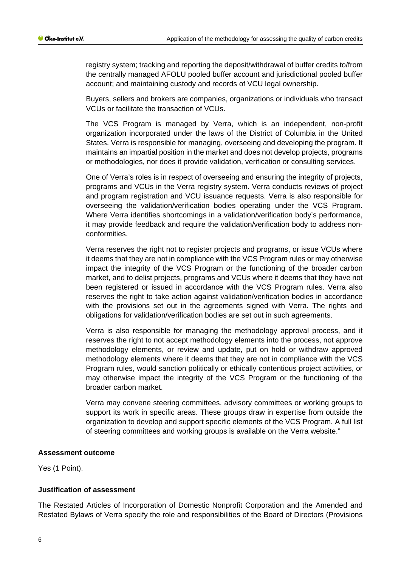registry system; tracking and reporting the deposit/withdrawal of buffer credits to/from the centrally managed AFOLU pooled buffer account and jurisdictional pooled buffer account; and maintaining custody and records of VCU legal ownership.

Buyers, sellers and brokers are companies, organizations or individuals who transact VCUs or facilitate the transaction of VCUs.

The VCS Program is managed by Verra, which is an independent, non-profit organization incorporated under the laws of the District of Columbia in the United States. Verra is responsible for managing, overseeing and developing the program. It maintains an impartial position in the market and does not develop projects, programs or methodologies, nor does it provide validation, verification or consulting services.

One of Verra's roles is in respect of overseeing and ensuring the integrity of projects, programs and VCUs in the Verra registry system. Verra conducts reviews of project and program registration and VCU issuance requests. Verra is also responsible for overseeing the validation/verification bodies operating under the VCS Program. Where Verra identifies shortcomings in a validation/verification body's performance, it may provide feedback and require the validation/verification body to address nonconformities.

Verra reserves the right not to register projects and programs, or issue VCUs where it deems that they are not in compliance with the VCS Program rules or may otherwise impact the integrity of the VCS Program or the functioning of the broader carbon market, and to delist projects, programs and VCUs where it deems that they have not been registered or issued in accordance with the VCS Program rules. Verra also reserves the right to take action against validation/verification bodies in accordance with the provisions set out in the agreements signed with Verra. The rights and obligations for validation/verification bodies are set out in such agreements.

Verra is also responsible for managing the methodology approval process, and it reserves the right to not accept methodology elements into the process, not approve methodology elements, or review and update, put on hold or withdraw approved methodology elements where it deems that they are not in compliance with the VCS Program rules, would sanction politically or ethically contentious project activities, or may otherwise impact the integrity of the VCS Program or the functioning of the broader carbon market.

Verra may convene steering committees, advisory committees or working groups to support its work in specific areas. These groups draw in expertise from outside the organization to develop and support specific elements of the VCS Program. A full list of steering committees and working groups is available on the Verra website."

### **Assessment outcome**

Yes (1 Point).

### **Justification of assessment**

The Restated Articles of Incorporation of Domestic Nonprofit Corporation and the Amended and Restated Bylaws of Verra specify the role and responsibilities of the Board of Directors (Provisions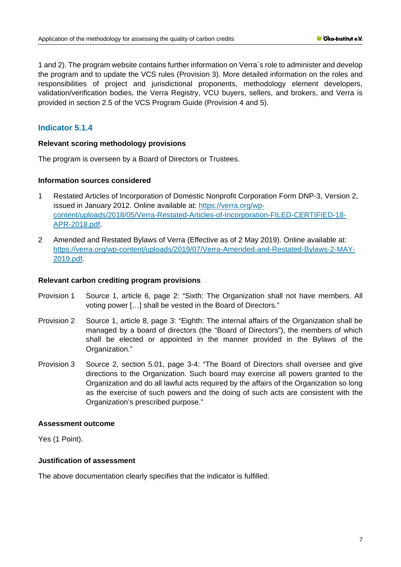1 and 2). The program website contains further information on Verra´s role to administer and develop the program and to update the VCS rules (Provision 3). More detailed information on the roles and responsibilities of project and jurisdictional proponents, methodology element developers, validation/verification bodies, the Verra Registry, VCU buyers, sellers, and brokers, and Verra is provided in section 2.5 of the VCS Program Guide (Provision 4 and 5).

# **Indicator 5.1.4**

### **Relevant scoring methodology provisions**

The program is overseen by a Board of Directors or Trustees.

### **Information sources considered**

- 1 Restated Articles of Incorporation of Domestic Nonprofit Corpo[ration Form DNP-3, Version 2,](https://verra.org/wp-content/uploads/2018/05/Verra-Restated-Articles-of-Incorporation-FILED-CERTIFIED-18-APR-2018.pdf)  issued in January 2012. Online available at: [https://verra.org/wp](https://verra.org/wp-content/uploads/2018/05/Verra-Restated-Articles-of-Incorporation-FILED-CERTIFIED-18-APR-2018.pdf)[content/uploads/2018/05/Verra-Restated-Articles-of-Incorporation-FILED-CERTIFIED-18-](https://verra.org/wp-content/uploads/2018/05/Verra-Restated-Articles-of-Incorporation-FILED-CERTIFIED-18-APR-2018.pdf) [APR-2018.pdf.](https://verra.org/wp-content/uploads/2018/05/Verra-Restated-Articles-of-Incorporation-FILED-CERTIFIED-18-APR-2018.pdf)
- 2 Amended and Restated Bylaws of Verra (Effective as of 2 May 2019). Online available at: [https://verra.org/wp-content/uploads/2019/07/Verra-Amended-and-Restated-Bylaws-2-MAY-](https://verra.org/wp-content/uploads/2019/07/Verra-Amended-and-Restated-Bylaws-2-MAY-2019.pdf)[2019.pdf.](https://verra.org/wp-content/uploads/2019/07/Verra-Amended-and-Restated-Bylaws-2-MAY-2019.pdf)

### **Relevant carbon crediting program provisions**

- Provision 1 Source 1, article 6, page 2: "Sixth: The Organization shall not have members. All voting power […] shall be vested in the Board of Directors."
- Provision 2 Source 1, article 8, page 3: "Eighth: The internal affairs of the Organization shall be managed by a board of directors (the "Board of Directors"), the members of which shall be elected or appointed in the manner provided in the Bylaws of the Organization."
- Provision 3 Source 2, section 5.01, page 3-4: "The Board of Directors shall oversee and give directions to the Organization. Such board may exercise all powers granted to the Organization and do all lawful acts required by the affairs of the Organization so long as the exercise of such powers and the doing of such acts are consistent with the Organization's prescribed purpose."

### **Assessment outcome**

Yes (1 Point).

# **Justification of assessment**

The above documentation clearly specifies that the indicator is fulfilled.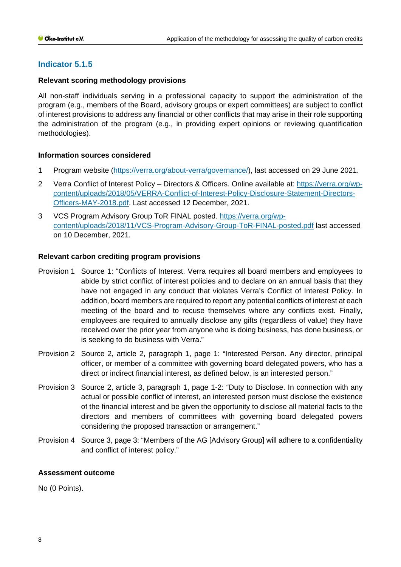# **Indicator 5.1.5**

### **Relevant scoring methodology provisions**

All non-staff individuals serving in a professional capacity to support the administration of the program (e.g., members of the Board, advisory groups or expert committees) are subject to conflict of interest provisions to address any financial or other conflicts that may arise in their role supporting the administration of the program (e.g., in providing expert opinions or reviewing quantification methodologies).

# **Information sources considered**

- 1 Program website [\(https://verra.org/about-verra/governance/\)](https://verra.org/about-verra/governance/), last accessed on 29 June 2021.
- 2 Verra Conflict of Interest Policy Directors & Officers. Online available at: [https://verra.org/wp](https://verra.org/wp-content/uploads/2018/05/VERRA-Conflict-of-Interest-Policy-Disclosure-Statement-Directors-Officers-MAY-2018.pdf)[content/uploads/2018/05/VERRA-Conflict-of-Interest-Policy-Disclosure-Statement-Directors-](https://verra.org/wp-content/uploads/2018/05/VERRA-Conflict-of-Interest-Policy-Disclosure-Statement-Directors-Officers-MAY-2018.pdf)[Officers-MAY-2018.pdf.](https://verra.org/wp-content/uploads/2018/05/VERRA-Conflict-of-Interest-Policy-Disclosure-Statement-Directors-Officers-MAY-2018.pdf) Last accessed 12 December, 2021.
- 3 VCS Program Advisory Group ToR FINAL posted. [https://verra.org/wp](https://verra.org/wp-content/uploads/2018/11/VCS-Program-Advisory-Group-ToR-FINAL-posted.pdf)[content/uploads/2018/11/VCS-Program-Advisory-Group-ToR-FINAL-posted.pdf](https://verra.org/wp-content/uploads/2018/11/VCS-Program-Advisory-Group-ToR-FINAL-posted.pdf) last accessed on 10 December, 2021.

### **Relevant carbon crediting program provisions**

- Provision 1 Source 1: "Conflicts of Interest. Verra requires all board members and employees to abide by strict conflict of interest policies and to declare on an annual basis that they have not engaged in any conduct that violates Verra's Conflict of Interest Policy. In addition, board members are required to report any potential conflicts of interest at each meeting of the board and to recuse themselves where any conflicts exist. Finally, employees are required to annually disclose any gifts (regardless of value) they have received over the prior year from anyone who is doing business, has done business, or is seeking to do business with Verra."
- Provision 2 Source 2, article 2, paragraph 1, page 1: "Interested Person. Any director, principal officer, or member of a committee with governing board delegated powers, who has a direct or indirect financial interest, as defined below, is an interested person."
- Provision 3 Source 2, article 3, paragraph 1, page 1-2: "Duty to Disclose. In connection with any actual or possible conflict of interest, an interested person must disclose the existence of the financial interest and be given the opportunity to disclose all material facts to the directors and members of committees with governing board delegated powers considering the proposed transaction or arrangement."
- Provision 4 Source 3, page 3: "Members of the AG [Advisory Group] will adhere to a confidentiality and conflict of interest policy."

### **Assessment outcome**

No (0 Points).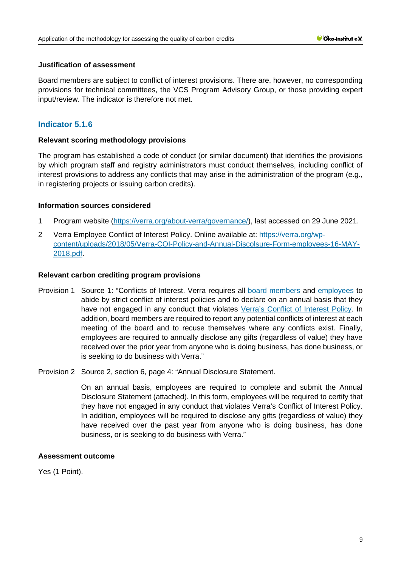### **Justification of assessment**

Board members are subject to conflict of interest provisions. There are, however, no corresponding provisions for technical committees, the VCS Program Advisory Group, or those providing expert input/review. The indicator is therefore not met.

# **Indicator 5.1.6**

### **Relevant scoring methodology provisions**

The program has established a code of conduct (or similar document) that identifies the provisions by which program staff and registry administrators must conduct themselves, including conflict of interest provisions to address any conflicts that may arise in the administration of the program (e.g., in registering projects or issuing carbon credits).

### **Information sources considered**

- 1 Program website [\(https://verra.org/about-verra/governance/\)](https://verra.org/about-verra/governance/), last accessed on 29 June 2021.
- 2 Verra Employee Conflict of Interest Policy. Online available at: [https://verra.org/wp](https://verra.org/wp-content/uploads/2018/05/Verra-COI-Policy-and-Annual-Discolsure-Form-employees-16-MAY-2018.pdf)[content/uploads/2018/05/Verra-COI-Policy-and-Annual-Discolsure-Form-employees-16-MAY-](https://verra.org/wp-content/uploads/2018/05/Verra-COI-Policy-and-Annual-Discolsure-Form-employees-16-MAY-2018.pdf)[2018.pdf.](https://verra.org/wp-content/uploads/2018/05/Verra-COI-Policy-and-Annual-Discolsure-Form-employees-16-MAY-2018.pdf)

### **Relevant carbon crediting program provisions**

- Provision 1 Source 1: "Conflicts of Interest. Verra requires all [board members](https://verra.org/wp-content/uploads/2018/05/VERRA-Conflict-of-Interest-Policy-Disclosure-Statement-Directors-Officers-MAY-2018.pdf) and [employees](https://verra.org/wp-content/uploads/2018/05/Verra-COI-Policy-and-Annual-Discolsure-Form-employees-16-MAY-2018.pdf) to abide by strict conflict of interest policies and to declare on an annual basis that they have not engaged in any conduct that violates [Verra's Conflict of Interest Policy.](https://verra.org/wp-content/uploads/2018/05/VERRA-Conflict-of-Interest-Policy-Disclosure-Statement-Directors-Officers-MAY-2018.pdf) In addition, board members are required to report any potential conflicts of interest at each meeting of the board and to recuse themselves where any conflicts exist. Finally, employees are required to annually disclose any gifts (regardless of value) they have received over the prior year from anyone who is doing business, has done business, or is seeking to do business with Verra."
- Provision 2 Source 2, section 6, page 4: "Annual Disclosure Statement.

On an annual basis, employees are required to complete and submit the Annual Disclosure Statement (attached). In this form, employees will be required to certify that they have not engaged in any conduct that violates Verra's Conflict of Interest Policy. In addition, employees will be required to disclose any gifts (regardless of value) they have received over the past year from anyone who is doing business, has done business, or is seeking to do business with Verra."

### **Assessment outcome**

Yes (1 Point).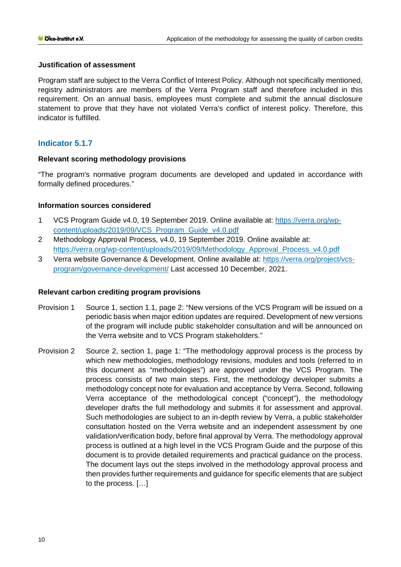### **Justification of assessment**

Program staff are subject to the Verra Conflict of Interest Policy. Although not specifically mentioned, registry administrators are members of the Verra Program staff and therefore included in this requirement. On an annual basis, employees must complete and submit the annual disclosure statement to prove that they have not violated Verra's conflict of interest policy. Therefore, this indicator is fulfilled.

# **Indicator 5.1.7**

# **Relevant scoring methodology provisions**

"The program's normative program documents are developed and updated in accordance with formally defined procedures."

# **Information sources considered**

- 1 VCS Program Guide v4.0, 19 September 2019. Online available at: [https://verra.org/wp](https://verra.org/wp-content/uploads/2019/09/VCS_Program_Guide_v4.0.pdf)[content/uploads/2019/09/VCS\\_Program\\_Guide\\_v4.0.pdf](https://verra.org/wp-content/uploads/2019/09/VCS_Program_Guide_v4.0.pdf)
- 2 Methodology Approval Process, v4.0, 19 September 2019. Online available at: [https://verra.org/wp-content/uploads/2019/09/Methodology\\_Approval\\_Process\\_v4.0.pdf](https://verra.org/wp-content/uploads/2019/09/Methodology_Approval_Process_v4.0.pdf)
- 3 Verra website Governance & Development. Online available at: [https://verra.org/project/vcs](https://verra.org/project/vcs-program/governance-development/)[program/governance-development/](https://verra.org/project/vcs-program/governance-development/) Last accessed 10 December, 2021.

# **Relevant carbon crediting program provisions**

- Provision 1 Source 1, section 1.1, page 2: "New versions of the VCS Program will be issued on a periodic basis when major edition updates are required. Development of new versions of the program will include public stakeholder consultation and will be announced on the Verra website and to VCS Program stakeholders."
- Provision 2 Source 2, section 1, page 1: "The methodology approval process is the process by which new methodologies, methodology revisions, modules and tools (referred to in this document as "methodologies") are approved under the VCS Program. The process consists of two main steps. First, the methodology developer submits a methodology concept note for evaluation and acceptance by Verra. Second, following Verra acceptance of the methodological concept ("concept"), the methodology developer drafts the full methodology and submits it for assessment and approval. Such methodologies are subject to an in-depth review by Verra, a public stakeholder consultation hosted on the Verra website and an independent assessment by one validation/verification body, before final approval by Verra. The methodology approval process is outlined at a high level in the VCS Program Guide and the purpose of this document is to provide detailed requirements and practical guidance on the process. The document lays out the steps involved in the methodology approval process and then provides further requirements and guidance for specific elements that are subject to the process. […]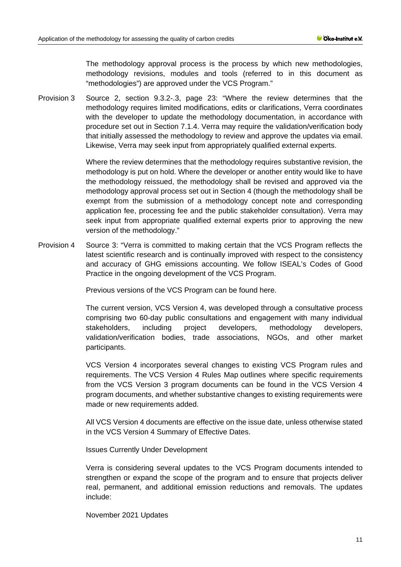The methodology approval process is the process by which new methodologies, methodology revisions, modules and tools (referred to in this document as "methodologies") are approved under the VCS Program."

Provision 3 Source 2, section 9.3.2-.3, page 23: "Where the review determines that the methodology requires limited modifications, edits or clarifications, Verra coordinates with the developer to update the methodology documentation, in accordance with procedure set out in Section 7.1.4. Verra may require the validation/verification body that initially assessed the methodology to review and approve the updates via email. Likewise, Verra may seek input from appropriately qualified external experts.

> Where the review determines that the methodology requires substantive revision, the methodology is put on hold. Where the developer or another entity would like to have the methodology reissued, the methodology shall be revised and approved via the methodology approval process set out in Section 4 (though the methodology shall be exempt from the submission of a methodology concept note and corresponding application fee, processing fee and the public stakeholder consultation). Verra may seek input from appropriate qualified external experts prior to approving the new version of the methodology."

Provision 4 Source 3: "Verra is committed to making certain that the VCS Program reflects the latest scientific research and is continually improved with respect to the consistency and accuracy of GHG emissions accounting. We follow ISEAL's Codes of Good Practice in the ongoing development of the VCS Program.

Previous versions of the VCS Program can be found [here.](https://verra.org/project/vcs-program/rules-and-requirements/previous-versions/)

The current version, VCS Version 4, was developed through a consultative process comprising two 60-day public consultations and engagement with many individual stakeholders, including project developers, methodology developers, validation/verification bodies, trade associations, NGOs, and other market participants.

VCS Version 4 incorporates several changes to existing VCS Program rules and requirements. The [VCS Version 4 Rules Map](https://verra.org/wp-content/uploads/2019/09/VCS-Version-4-Rules-Map.xlsx) outlines where specific requirements from the VCS Version 3 program documents can be found in the VCS Version 4 program documents, and whether substantive changes to existing requirements were made or new requirements added.

All VCS Version 4 documents are effective on the issue date, unless otherwise stated in the [VCS Version 4 Summary of Effective Dates.](https://verra.org/wp-content/uploads/2020/03/VCS-V4-Summary-of-Effective-Dates_Updated.pdf)

Issues Currently Under Development

Verra is considering several updates to the VCS Program documents intended to strengthen or expand the scope of the program and to ensure that projects deliver real, permanent, and additional emission reductions and removals. The updates include:

November 2021 Updates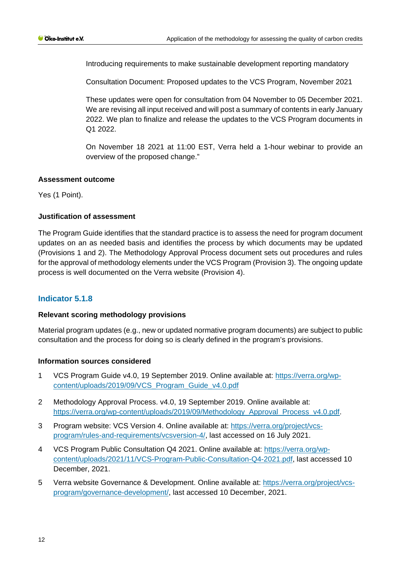Introducing requirements to make sustainable development reporting mandatory

[Consultation Document: Proposed updates to the VCS Program, November 2021](https://verra.org/wp-content/uploads/2021/11/VCS-Program-Public-Consultation-Q4-2021.pdf)

These updates were open for consultation from 04 November to 05 December 2021. We are revising all input received and will post a summary of contents in early January 2022. We plan to finalize and release the updates to the VCS Program documents in Q1 2022.

On November 18 2021 at 11:00 EST, Verra held a 1-hour webinar to provide an overview of the proposed change."

### **Assessment outcome**

Yes (1 Point).

# **Justification of assessment**

The Program Guide identifies that the standard practice is to assess the need for program document updates on an as needed basis and identifies the process by which documents may be updated (Provisions 1 and 2). The Methodology Approval Process document sets out procedures and rules for the approval of methodology elements under the VCS Program (Provision 3). The ongoing update process is well documented on the Verra website (Provision 4).

# **Indicator 5.1.8**

# **Relevant scoring methodology provisions**

Material program updates (e.g., new or updated normative program documents) are subject to public consultation and the process for doing so is clearly defined in the program's provisions.

### **Information sources considered**

- 1 VCS Program Guide v4.0, 19 September 2019. Online available at: [https://verra.org/wp](https://verra.org/wp-content/uploads/2019/09/VCS_Program_Guide_v4.0.pdf)[content/uploads/2019/09/VCS\\_Program\\_Guide\\_v4.0.pdf](https://verra.org/wp-content/uploads/2019/09/VCS_Program_Guide_v4.0.pdf)
- 2 Methodology Approval Process. v4.0, 19 September 2019. Online available at: [https://verra.org/wp-content/uploads/2019/09/Methodology\\_Approval\\_Process\\_v4.0.pdf.](https://verra.org/wp-content/uploads/2019/09/Methodology_Approval_Process_v4.0.pdf)
- 3 Program website: VCS Version 4. Online available at: [https://verra.org/project/vcs](https://verra.org/project/vcs-program/rules-and-requirements/vcsversion-4/)[program/rules-and-requirements/vcsversion-4/,](https://verra.org/project/vcs-program/rules-and-requirements/vcsversion-4/) last accessed on 16 July 2021.
- 4 VCS Program Public Consultation Q4 2021. Online available at: [https://verra.org/wp](https://verra.org/wp-content/uploads/2021/11/VCS-Program-Public-Consultation-Q4-2021.pdf)[content/uploads/2021/11/VCS-Program-Public-Consultation-Q4-2021.pdf,](https://verra.org/wp-content/uploads/2021/11/VCS-Program-Public-Consultation-Q4-2021.pdf) last accessed 10 December, 2021.
- 5 Verra website Governance & Development. Online available at: [https://verra.org/project/vcs](https://verra.org/project/vcs-program/governance-development/)[program/governance-development/,](https://verra.org/project/vcs-program/governance-development/) last accessed 10 December, 2021.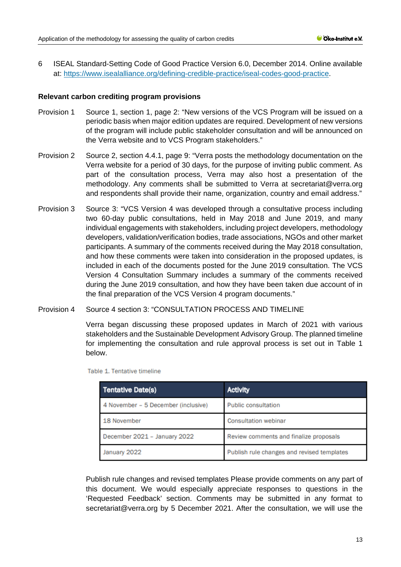6 ISEAL Standard-Setting Code of Good Practice Version 6.0, December 2014. Online available at: [https://www.isealalliance.org/defining-credible-practice/iseal-codes-good-practice.](https://www.isealalliance.org/defining-credible-practice/iseal-codes-good-practice)

### **Relevant carbon crediting program provisions**

- Provision 1 Source 1, section 1, page 2: "New versions of the VCS Program will be issued on a periodic basis when major edition updates are required. Development of new versions of the program will include public stakeholder consultation and will be announced on the Verra website and to VCS Program stakeholders."
- Provision 2 Source 2, section 4.4.1, page 9: "Verra posts the methodology documentation on the Verra website for a period of 30 days, for the purpose of inviting public comment. As part of the consultation process, Verra may also host a presentation of the methodology. Any comments shall be submitted to Verra at secretariat@verra.org and respondents shall provide their name, organization, country and email address."
- Provision 3 Source 3: "VCS Version 4 was developed through a consultative process including two 60-day public consultations, held in May 2018 and June 2019, and many individual engagements with stakeholders, including project developers, methodology developers, validation/verification bodies, trade associations, NGOs and other market participants. A summary of the comments received during the May 2018 consultation, and how these comments were taken into consideration in the proposed updates, is included in each of the documents posted for the June 2019 consultation. The VCS Version 4 Consultation Summary includes a summary of the comments received during the June 2019 consultation, and how they have been taken due account of in the final preparation of the VCS Version 4 program documents."
- Provision 4 Source 4 section 3: "CONSULTATION PROCESS AND TIMELINE

Verra began discussing these proposed updates in March of 2021 with various stakeholders and the Sustainable Development Advisory Group. The planned timeline for implementing the consultation and rule approval process is set out in Table 1 below.

| <b>Tentative Date(s)</b>            | <b>Activity</b>                            |  |
|-------------------------------------|--------------------------------------------|--|
| 4 November – 5 December (inclusive) | <b>Public consultation</b>                 |  |
| 18 November                         | <b>Consultation webinar</b>                |  |
| December 2021 - January 2022        | Review comments and finalize proposals     |  |
| January 2022                        | Publish rule changes and revised templates |  |

Table 1. Tentative timeline

Publish rule changes and revised templates Please provide comments on any part of this document. We would especially appreciate responses to questions in the 'Requested Feedback' section. Comments may be submitted in any format to secretariat@verra.org by 5 December 2021. After the consultation, we will use the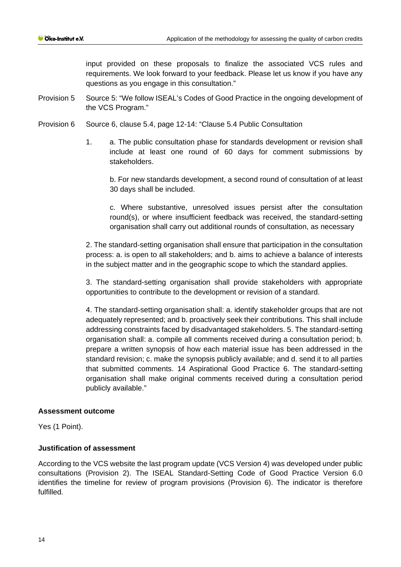input provided on these proposals to finalize the associated VCS rules and requirements. We look forward to your feedback. Please let us know if you have any questions as you engage in this consultation."

- Provision 5 Source 5: "We follow ISEAL's Codes of Good Practice in the ongoing development of the VCS Program."
- Provision 6 Source 6, clause 5.4, page 12-14: "Clause 5.4 Public Consultation
	- 1. a. The public consultation phase for standards development or revision shall include at least one round of 60 days for comment submissions by stakeholders.

b. For new standards development, a second round of consultation of at least 30 days shall be included.

c. Where substantive, unresolved issues persist after the consultation round(s), or where insufficient feedback was received, the standard-setting organisation shall carry out additional rounds of consultation, as necessary

2. The standard-setting organisation shall ensure that participation in the consultation process: a. is open to all stakeholders; and b. aims to achieve a balance of interests in the subject matter and in the geographic scope to which the standard applies.

3. The standard-setting organisation shall provide stakeholders with appropriate opportunities to contribute to the development or revision of a standard.

4. The standard-setting organisation shall: a. identify stakeholder groups that are not adequately represented; and b. proactively seek their contributions. This shall include addressing constraints faced by disadvantaged stakeholders. 5. The standard-setting organisation shall: a. compile all comments received during a consultation period; b. prepare a written synopsis of how each material issue has been addressed in the standard revision; c. make the synopsis publicly available; and d. send it to all parties that submitted comments. 14 Aspirational Good Practice 6. The standard-setting organisation shall make original comments received during a consultation period publicly available."

# **Assessment outcome**

Yes (1 Point).

# **Justification of assessment**

According to the VCS website the last program update (VCS Version 4) was developed under public consultations (Provision 2). The ISEAL Standard-Setting Code of Good Practice Version 6.0 identifies the timeline for review of program provisions (Provision 6). The indicator is therefore fulfilled.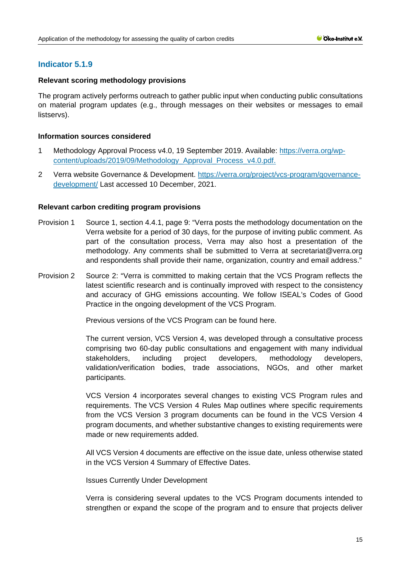# **Indicator 5.1.9**

### **Relevant scoring methodology provisions**

The program actively performs outreach to gather public input when conducting public consultations on material program updates (e.g., through messages on their websites or messages to email listservs).

### **Information sources considered**

- 1 Methodology Approval Process v4.0, 19 September 2019. Available: [https://verra.org/wp](https://verra.org/wp-content/uploads/2019/09/Methodology_Approval_Process_v4.0.pdf)[content/uploads/2019/09/Methodology\\_Approval\\_Process\\_v4.0.pdf.](https://verra.org/wp-content/uploads/2019/09/Methodology_Approval_Process_v4.0.pdf)
- 2 Verra website Governance & Development. [https://verra.org/project/vcs-program/governance](https://verra.org/project/vcs-program/governance-development/)[development/](https://verra.org/project/vcs-program/governance-development/) Last accessed 10 December, 2021.

### **Relevant carbon crediting program provisions**

- Provision 1 Source 1, section 4.4.1, page 9: "Verra posts the methodology documentation on the Verra website for a period of 30 days, for the purpose of inviting public comment. As part of the consultation process, Verra may also host a presentation of the methodology. Any comments shall be submitted to Verra at secretariat@verra.org and respondents shall provide their name, organization, country and email address."
- Provision 2 Source 2: "Verra is committed to making certain that the VCS Program reflects the latest scientific research and is continually improved with respect to the consistency and accuracy of GHG emissions accounting. We follow ISEAL's Codes of Good Practice in the ongoing development of the VCS Program.

Previous versions of the VCS Program can be found [here.](https://verra.org/project/vcs-program/rules-and-requirements/previous-versions/)

The current version, VCS Version 4, was developed through a consultative process comprising two 60-day public consultations and engagement with many individual stakeholders, including project developers, methodology developers, validation/verification bodies, trade associations, NGOs, and other market participants.

VCS Version 4 incorporates several changes to existing VCS Program rules and requirements. The [VCS Version 4 Rules Map](https://verra.org/wp-content/uploads/2019/09/VCS-Version-4-Rules-Map.xlsx) outlines where specific requirements from the VCS Version 3 program documents can be found in the VCS Version 4 program documents, and whether substantive changes to existing requirements were made or new requirements added.

All VCS Version 4 documents are effective on the issue date, unless otherwise stated in the [VCS Version 4 Summary of Effective Dates.](https://verra.org/wp-content/uploads/2020/03/VCS-V4-Summary-of-Effective-Dates_Updated.pdf)

### Issues Currently Under Development

Verra is considering several updates to the VCS Program documents intended to strengthen or expand the scope of the program and to ensure that projects deliver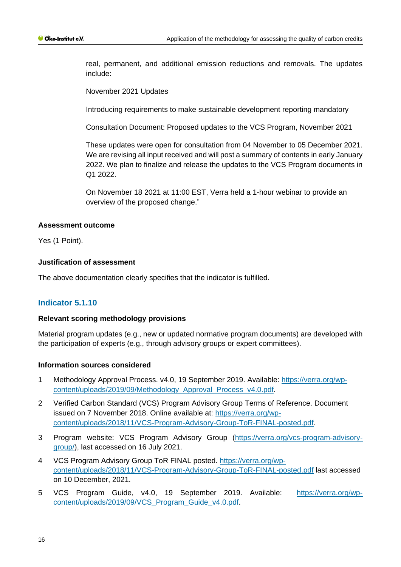real, permanent, and additional emission reductions and removals. The updates include:

November 2021 Updates

Introducing requirements to make sustainable development reporting mandatory

[Consultation Document: Proposed updates to the VCS Program, November 2021](https://verra.org/wp-content/uploads/2021/11/VCS-Program-Public-Consultation-Q4-2021.pdf)

These updates were open for consultation from 04 November to 05 December 2021. We are revising all input received and will post a summary of contents in early January 2022. We plan to finalize and release the updates to the VCS Program documents in  $Q1 2022$ 

On November 18 2021 at 11:00 EST, Verra held a 1-hour webinar to provide an overview of the proposed change."

### **Assessment outcome**

Yes (1 Point).

# **Justification of assessment**

The above documentation clearly specifies that the indicator is fulfilled.

# **Indicator 5.1.10**

### **Relevant scoring methodology provisions**

Material program updates (e.g., new or updated normative program documents) are developed with the participation of experts (e.g., through advisory groups or expert committees).

### **Information sources considered**

- 1 Methodology Approval Process. v4.0, 19 September 2019. Available: [https://verra.org/wp](https://verra.org/wp-content/uploads/2019/09/Methodology_Approval_Process_v4.0.pdf)[content/uploads/2019/09/Methodology\\_Approval\\_Process\\_v4.0.pdf.](https://verra.org/wp-content/uploads/2019/09/Methodology_Approval_Process_v4.0.pdf)
- 2 Verified Carbon Standard (VCS) Program Advisory Group Terms of Reference. Document issued on 7 November 2018. Online available at: [https://verra.org/wp](https://verra.org/wp-content/uploads/2018/11/VCS-Program-Advisory-Group-ToR-FINAL-posted.pdf)[content/uploads/2018/11/VCS-Program-Advisory-Group-ToR-FINAL-posted.pdf.](https://verra.org/wp-content/uploads/2018/11/VCS-Program-Advisory-Group-ToR-FINAL-posted.pdf)
- 3 Program website: VCS Program Advisory Group [\(https://verra.org/vcs-program-advisory](https://verra.org/vcs-program-advisory-group/)[group/\)](https://verra.org/vcs-program-advisory-group/), last accessed on 16 July 2021.
- 4 VCS Program Advisory Group ToR FINAL posted. [https://verra.org/wp](https://verra.org/wp-content/uploads/2018/11/VCS-Program-Advisory-Group-ToR-FINAL-posted.pdf)[content/uploads/2018/11/VCS-Program-Advisory-Group-ToR-FINAL-posted.pdf](https://verra.org/wp-content/uploads/2018/11/VCS-Program-Advisory-Group-ToR-FINAL-posted.pdf) last accessed on 10 December, 2021.
- 5 VCS Program Guide, v4.0, 19 September 2019. Available: [https://verra.org/wp](https://verra.org/wp-content/uploads/2019/09/VCS_Program_Guide_v4.0.pdf)[content/uploads/2019/09/VCS\\_Program\\_Guide\\_v4.0.pdf.](https://verra.org/wp-content/uploads/2019/09/VCS_Program_Guide_v4.0.pdf)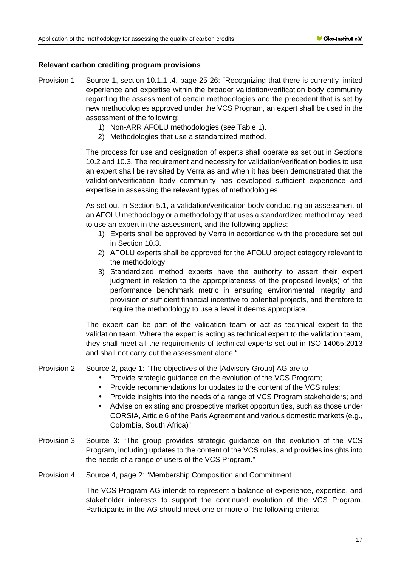# **Relevant carbon crediting program provisions**

- Provision 1 Source 1, section 10.1.1-.4, page 25-26: "Recognizing that there is currently limited experience and expertise within the broader validation/verification body community regarding the assessment of certain methodologies and the precedent that is set by new methodologies approved under the VCS Program, an expert shall be used in the assessment of the following:
	- 1) Non-ARR AFOLU methodologies (see Table 1).
	- 2) Methodologies that use a standardized method.

The process for use and designation of experts shall operate as set out in Sections 10.2 and 10.3. The requirement and necessity for validation/verification bodies to use an expert shall be revisited by Verra as and when it has been demonstrated that the validation/verification body community has developed sufficient experience and expertise in assessing the relevant types of methodologies.

As set out in Section 5.1, a validation/verification body conducting an assessment of an AFOLU methodology or a methodology that uses a standardized method may need to use an expert in the assessment, and the following applies:

- 1) Experts shall be approved by Verra in accordance with the procedure set out in Section 10.3.
- 2) AFOLU experts shall be approved for the AFOLU project category relevant to the methodology.
- 3) Standardized method experts have the authority to assert their expert judgment in relation to the appropriateness of the proposed level(s) of the performance benchmark metric in ensuring environmental integrity and provision of sufficient financial incentive to potential projects, and therefore to require the methodology to use a level it deems appropriate.

The expert can be part of the validation team or act as technical expert to the validation team. Where the expert is acting as technical expert to the validation team, they shall meet all the requirements of technical experts set out in ISO 14065:2013 and shall not carry out the assessment alone."

# Provision 2 Source 2, page 1: "The objectives of the [Advisory Group] AG are to

- Provide strategic guidance on the evolution of the VCS Program;
- Provide recommendations for updates to the content of the VCS rules;
- Provide insights into the needs of a range of VCS Program stakeholders; and
- Advise on existing and prospective market opportunities, such as those under CORSIA, Article 6 of the Paris Agreement and various domestic markets (e.g., Colombia, South Africa)"
- Provision 3 Source 3: "The group provides strategic guidance on the evolution of the VCS Program, including updates to the content of the VCS rules, and provides insights into the needs of a range of users of the VCS Program."
- Provision 4 Source 4, page 2: "Membership Composition and Commitment

The VCS Program AG intends to represent a balance of experience, expertise, and stakeholder interests to support the continued evolution of the VCS Program. Participants in the AG should meet one or more of the following criteria: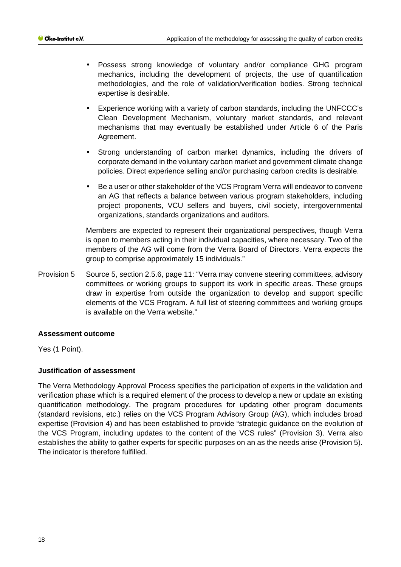- Possess strong knowledge of voluntary and/or compliance GHG program mechanics, including the development of projects, the use of quantification methodologies, and the role of validation/verification bodies. Strong technical expertise is desirable.
- Experience working with a variety of carbon standards, including the UNFCCC's Clean Development Mechanism, voluntary market standards, and relevant mechanisms that may eventually be established under Article 6 of the Paris Agreement.
- Strong understanding of carbon market dynamics, including the drivers of corporate demand in the voluntary carbon market and government climate change policies. Direct experience selling and/or purchasing carbon credits is desirable.
- Be a user or other stakeholder of the VCS Program Verra will endeavor to convene an AG that reflects a balance between various program stakeholders, including project proponents, VCU sellers and buyers, civil society, intergovernmental organizations, standards organizations and auditors.

Members are expected to represent their organizational perspectives, though Verra is open to members acting in their individual capacities, where necessary. Two of the members of the AG will come from the Verra Board of Directors. Verra expects the group to comprise approximately 15 individuals."

Provision 5 Source 5, section 2.5.6, page 11: "Verra may convene steering committees, advisory committees or working groups to support its work in specific areas. These groups draw in expertise from outside the organization to develop and support specific elements of the VCS Program. A full list of steering committees and working groups is available on the Verra website."

# **Assessment outcome**

Yes (1 Point).

# **Justification of assessment**

The Verra Methodology Approval Process specifies the participation of experts in the validation and verification phase which is a required element of the process to develop a new or update an existing quantification methodology. The program procedures for updating other program documents (standard revisions, etc.) relies on the VCS Program Advisory Group (AG), which includes broad expertise (Provision 4) and has been established to provide "strategic guidance on the evolution of the VCS Program, including updates to the content of the VCS rules" (Provision 3). Verra also establishes the ability to gather experts for specific purposes on an as the needs arise (Provision 5). The indicator is therefore fulfilled.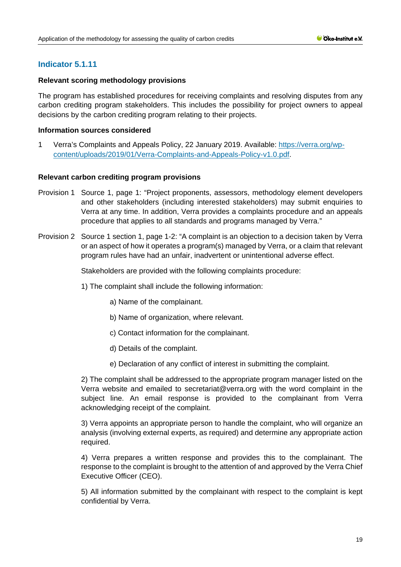# **Indicator 5.1.11**

### **Relevant scoring methodology provisions**

The program has established procedures for receiving complaints and resolving disputes from any carbon crediting program stakeholders. This includes the possibility for project owners to appeal decisions by the carbon crediting program relating to their projects.

### **Information sources considered**

1 Verra's Complaints and Appeals Policy, 22 January 2019. Available: [https://verra.org/wp](https://verra.org/wp-content/uploads/2019/01/Verra-Complaints-and-Appeals-Policy-v1.0.pdf)[content/uploads/2019/01/Verra-Complaints-and-Appeals-Policy-v1.0.pdf.](https://verra.org/wp-content/uploads/2019/01/Verra-Complaints-and-Appeals-Policy-v1.0.pdf)

### **Relevant carbon crediting program provisions**

- Provision 1 Source 1, page 1: "Project proponents, assessors, methodology element developers and other stakeholders (including interested stakeholders) may submit enquiries to Verra at any time. In addition, Verra provides a complaints procedure and an appeals procedure that applies to all standards and programs managed by Verra."
- Provision 2 Source 1 section 1, page 1-2: "A complaint is an objection to a decision taken by Verra or an aspect of how it operates a program(s) managed by Verra, or a claim that relevant program rules have had an unfair, inadvertent or unintentional adverse effect.

Stakeholders are provided with the following complaints procedure:

- 1) The complaint shall include the following information:
	- a) Name of the complainant.
	- b) Name of organization, where relevant.
	- c) Contact information for the complainant.
	- d) Details of the complaint.
	- e) Declaration of any conflict of interest in submitting the complaint.

2) The complaint shall be addressed to the appropriate program manager listed on the Verra website and emailed to secretariat@verra.org with the word complaint in the subject line. An email response is provided to the complainant from Verra acknowledging receipt of the complaint.

3) Verra appoints an appropriate person to handle the complaint, who will organize an analysis (involving external experts, as required) and determine any appropriate action required.

4) Verra prepares a written response and provides this to the complainant. The response to the complaint is brought to the attention of and approved by the Verra Chief Executive Officer (CEO).

5) All information submitted by the complainant with respect to the complaint is kept confidential by Verra.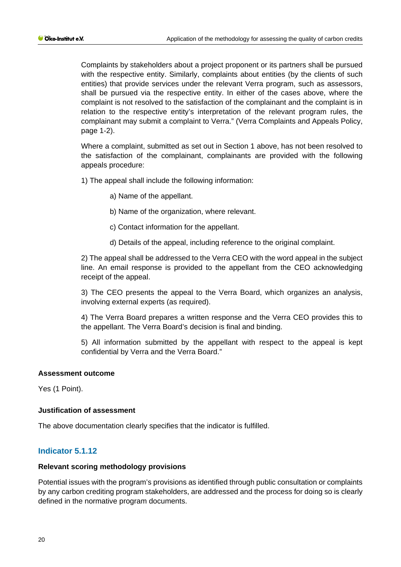Complaints by stakeholders about a project proponent or its partners shall be pursued with the respective entity. Similarly, complaints about entities (by the clients of such entities) that provide services under the relevant Verra program, such as assessors, shall be pursued via the respective entity. In either of the cases above, where the complaint is not resolved to the satisfaction of the complainant and the complaint is in relation to the respective entity's interpretation of the relevant program rules, the complainant may submit a complaint to Verra." (Verra Complaints and Appeals Policy, page 1-2).

Where a complaint, submitted as set out in Section 1 above, has not been resolved to the satisfaction of the complainant, complainants are provided with the following appeals procedure:

1) The appeal shall include the following information:

- a) Name of the appellant.
- b) Name of the organization, where relevant.
- c) Contact information for the appellant.
- d) Details of the appeal, including reference to the original complaint.

2) The appeal shall be addressed to the Verra CEO with the word appeal in the subject line. An email response is provided to the appellant from the CEO acknowledging receipt of the appeal.

3) The CEO presents the appeal to the Verra Board, which organizes an analysis, involving external experts (as required).

4) The Verra Board prepares a written response and the Verra CEO provides this to the appellant. The Verra Board's decision is final and binding.

5) All information submitted by the appellant with respect to the appeal is kept confidential by Verra and the Verra Board."

#### **Assessment outcome**

Yes (1 Point).

#### **Justification of assessment**

The above documentation clearly specifies that the indicator is fulfilled.

# **Indicator 5.1.12**

#### **Relevant scoring methodology provisions**

Potential issues with the program's provisions as identified through public consultation or complaints by any carbon crediting program stakeholders, are addressed and the process for doing so is clearly defined in the normative program documents.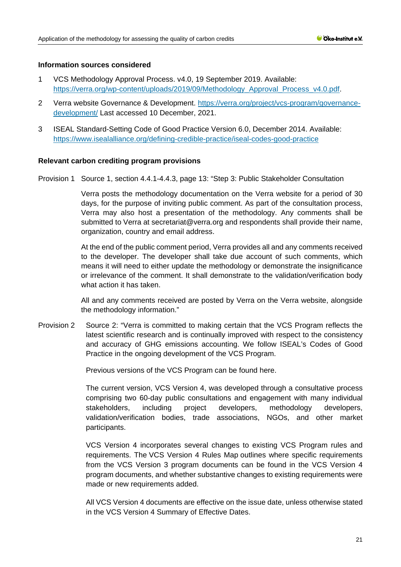### **Information sources considered**

- 1 VCS Methodology Approval Process. v4.0, 19 September 2019. Available: [https://verra.org/wp-content/uploads/2019/09/Methodology\\_Approval\\_Process\\_v4.0.pdf.](https://verra.org/wp-content/uploads/2019/09/Methodology_Approval_Process_v4.0.pdf)
- 2 Verra website Governance & Development. [https://verra.org/project/vcs-program/governance](https://verra.org/project/vcs-program/governance-development/)[development/](https://verra.org/project/vcs-program/governance-development/) Last accessed 10 December, 2021.
- 3 ISEAL Standard-Setting Code of Good Practice Version 6.0, December 2014. Available: <https://www.isealalliance.org/defining-credible-practice/iseal-codes-good-practice>

### **Relevant carbon crediting program provisions**

Provision 1 Source 1, section 4.4.1-4.4.3, page 13: "Step 3: Public Stakeholder Consultation

Verra posts the methodology documentation on the Verra website for a period of 30 days, for the purpose of inviting public comment. As part of the consultation process, Verra may also host a presentation of the methodology. Any comments shall be submitted to Verra at secretariat@verra.org and respondents shall provide their name, organization, country and email address.

At the end of the public comment period, Verra provides all and any comments received to the developer. The developer shall take due account of such comments, which means it will need to either update the methodology or demonstrate the insignificance or irrelevance of the comment. It shall demonstrate to the validation/verification body what action it has taken.

All and any comments received are posted by Verra on the Verra website, alongside the methodology information."

Provision 2 Source 2: "Verra is committed to making certain that the VCS Program reflects the latest scientific research and is continually improved with respect to the consistency and accuracy of GHG emissions accounting. We follow ISEAL's Codes of Good Practice in the ongoing development of the VCS Program.

Previous versions of the VCS Program can be found [here.](https://verra.org/project/vcs-program/rules-and-requirements/previous-versions/)

The current version, VCS Version 4, was developed through a consultative process comprising two 60-day public consultations and engagement with many individual stakeholders, including project developers, methodology developers, validation/verification bodies, trade associations, NGOs, and other market participants.

VCS Version 4 incorporates several changes to existing VCS Program rules and requirements. The [VCS Version 4 Rules Map](https://verra.org/wp-content/uploads/2019/09/VCS-Version-4-Rules-Map.xlsx) outlines where specific requirements from the VCS Version 3 program documents can be found in the VCS Version 4 program documents, and whether substantive changes to existing requirements were made or new requirements added.

All VCS Version 4 documents are effective on the issue date, unless otherwise stated in the [VCS Version 4 Summary of Effective Dates.](https://verra.org/wp-content/uploads/2020/03/VCS-V4-Summary-of-Effective-Dates_Updated.pdf)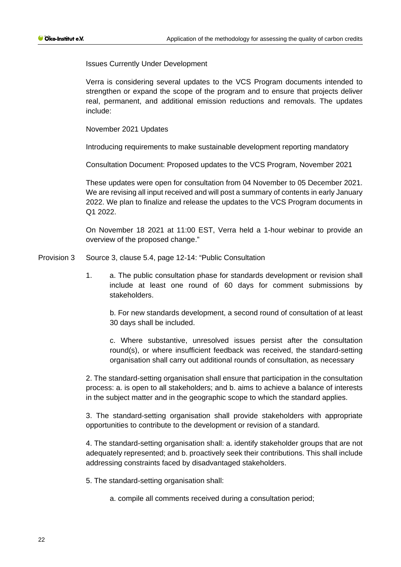Issues Currently Under Development

Verra is considering several updates to the VCS Program documents intended to strengthen or expand the scope of the program and to ensure that projects deliver real, permanent, and additional emission reductions and removals. The updates include:

November 2021 Updates

Introducing requirements to make sustainable development reporting mandatory

[Consultation Document: Proposed updates to the VCS Program, November 2021](https://verra.org/wp-content/uploads/2021/11/VCS-Program-Public-Consultation-Q4-2021.pdf)

These updates were open for consultation from 04 November to 05 December 2021. We are revising all input received and will post a summary of contents in early January 2022. We plan to finalize and release the updates to the VCS Program documents in  $Q1 2022$ 

On November 18 2021 at 11:00 EST, Verra held a 1-hour webinar to provide an overview of the proposed change."

Provision 3 Source 3, clause 5.4, page 12-14: "Public Consultation

1. a. The public consultation phase for standards development or revision shall include at least one round of 60 days for comment submissions by stakeholders.

b. For new standards development, a second round of consultation of at least 30 days shall be included.

c. Where substantive, unresolved issues persist after the consultation round(s), or where insufficient feedback was received, the standard-setting organisation shall carry out additional rounds of consultation, as necessary

2. The standard-setting organisation shall ensure that participation in the consultation process: a. is open to all stakeholders; and b. aims to achieve a balance of interests in the subject matter and in the geographic scope to which the standard applies.

3. The standard-setting organisation shall provide stakeholders with appropriate opportunities to contribute to the development or revision of a standard.

4. The standard-setting organisation shall: a. identify stakeholder groups that are not adequately represented; and b. proactively seek their contributions. This shall include addressing constraints faced by disadvantaged stakeholders.

5. The standard-setting organisation shall:

a. compile all comments received during a consultation period;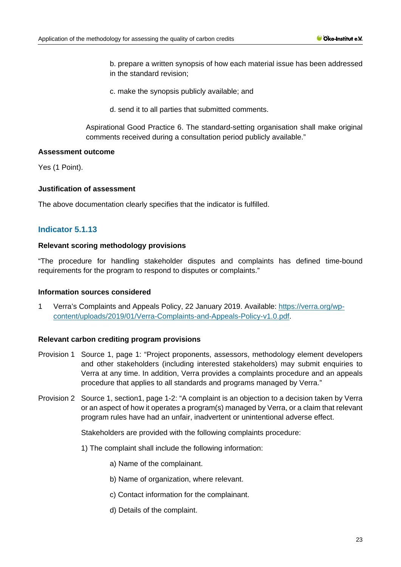- b. prepare a written synopsis of how each material issue has been addressed in the standard revision;
- c. make the synopsis publicly available; and
- d. send it to all parties that submitted comments.

Aspirational Good Practice 6. The standard-setting organisation shall make original comments received during a consultation period publicly available."

### **Assessment outcome**

Yes (1 Point).

### **Justification of assessment**

The above documentation clearly specifies that the indicator is fulfilled.

# **Indicator 5.1.13**

### **Relevant scoring methodology provisions**

"The procedure for handling stakeholder disputes and complaints has defined time-bound requirements for the program to respond to disputes or complaints."

### **Information sources considered**

1 Verra's Complaints and Appeals Policy, 22 January 2019. Available: [https://verra.org/wp](https://verra.org/wp-content/uploads/2019/01/Verra-Complaints-and-Appeals-Policy-v1.0.pdf)[content/uploads/2019/01/Verra-Complaints-and-Appeals-Policy-v1.0.pdf.](https://verra.org/wp-content/uploads/2019/01/Verra-Complaints-and-Appeals-Policy-v1.0.pdf)

### **Relevant carbon crediting program provisions**

- Provision 1 Source 1, page 1: "Project proponents, assessors, methodology element developers and other stakeholders (including interested stakeholders) may submit enquiries to Verra at any time. In addition, Verra provides a complaints procedure and an appeals procedure that applies to all standards and programs managed by Verra."
- Provision 2 Source 1, section1, page 1-2: "A complaint is an objection to a decision taken by Verra or an aspect of how it operates a program(s) managed by Verra, or a claim that relevant program rules have had an unfair, inadvertent or unintentional adverse effect.

Stakeholders are provided with the following complaints procedure:

- 1) The complaint shall include the following information:
	- a) Name of the complainant.
	- b) Name of organization, where relevant.
	- c) Contact information for the complainant.
	- d) Details of the complaint.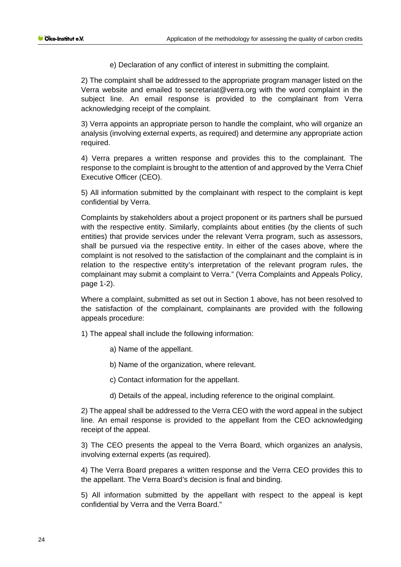e) Declaration of any conflict of interest in submitting the complaint.

2) The complaint shall be addressed to the appropriate program manager listed on the Verra website and emailed to secretariat@verra.org with the word complaint in the subject line. An email response is provided to the complainant from Verra acknowledging receipt of the complaint.

3) Verra appoints an appropriate person to handle the complaint, who will organize an analysis (involving external experts, as required) and determine any appropriate action required.

4) Verra prepares a written response and provides this to the complainant. The response to the complaint is brought to the attention of and approved by the Verra Chief Executive Officer (CEO).

5) All information submitted by the complainant with respect to the complaint is kept confidential by Verra.

Complaints by stakeholders about a project proponent or its partners shall be pursued with the respective entity. Similarly, complaints about entities (by the clients of such entities) that provide services under the relevant Verra program, such as assessors, shall be pursued via the respective entity. In either of the cases above, where the complaint is not resolved to the satisfaction of the complainant and the complaint is in relation to the respective entity's interpretation of the relevant program rules, the complainant may submit a complaint to Verra." (Verra Complaints and Appeals Policy, page 1-2).

Where a complaint, submitted as set out in Section 1 above, has not been resolved to the satisfaction of the complainant, complainants are provided with the following appeals procedure:

1) The appeal shall include the following information:

- a) Name of the appellant.
- b) Name of the organization, where relevant.
- c) Contact information for the appellant.
- d) Details of the appeal, including reference to the original complaint.

2) The appeal shall be addressed to the Verra CEO with the word appeal in the subject line. An email response is provided to the appellant from the CEO acknowledging receipt of the appeal.

3) The CEO presents the appeal to the Verra Board, which organizes an analysis, involving external experts (as required).

4) The Verra Board prepares a written response and the Verra CEO provides this to the appellant. The Verra Board's decision is final and binding.

5) All information submitted by the appellant with respect to the appeal is kept confidential by Verra and the Verra Board."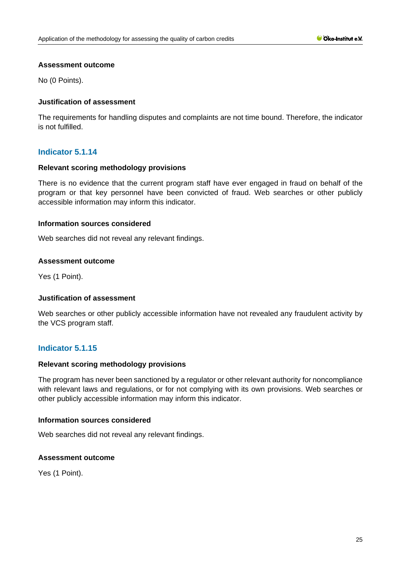### **Assessment outcome**

No (0 Points).

# **Justification of assessment**

The requirements for handling disputes and complaints are not time bound. Therefore, the indicator is not fulfilled.

# **Indicator 5.1.14**

### **Relevant scoring methodology provisions**

There is no evidence that the current program staff have ever engaged in fraud on behalf of the program or that key personnel have been convicted of fraud. Web searches or other publicly accessible information may inform this indicator.

### **Information sources considered**

Web searches did not reveal any relevant findings.

### **Assessment outcome**

Yes (1 Point).

# **Justification of assessment**

Web searches or other publicly accessible information have not revealed any fraudulent activity by the VCS program staff.

# **Indicator 5.1.15**

### **Relevant scoring methodology provisions**

The program has never been sanctioned by a regulator or other relevant authority for noncompliance with relevant laws and regulations, or for not complying with its own provisions. Web searches or other publicly accessible information may inform this indicator.

### **Information sources considered**

Web searches did not reveal any relevant findings.

### **Assessment outcome**

Yes (1 Point).